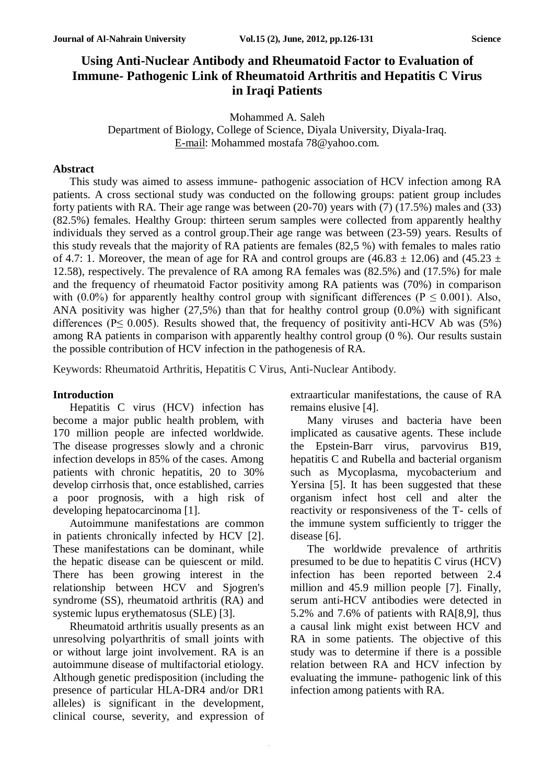# **Using Anti-Nuclear Antibody and Rheumatoid Factor to Evaluation of Immune- Pathogenic Link of Rheumatoid Arthritis and Hepatitis C Virus in Iraqi Patients**

Mohammed A. Saleh

Department of Biology, College of Science, Diyala University, Diyala-Iraq. E-mail: Mohammed mostafa 78@yahoo.com.

#### **Abstract**

This study was aimed to assess immune- pathogenic association of HCV infection among RA patients. A cross sectional study was conducted on the following groups: patient group includes forty patients with RA. Their age range was between (20-70) years with (7) (17.5%) males and (33) (82.5%) females. Healthy Group: thirteen serum samples were collected from apparently healthy individuals they served as a control group.Their age range was between (23-59) years. Results of this study reveals that the majority of RA patients are females (82,5 %) with females to males ratio of 4.7: 1. Moreover, the mean of age for RA and control groups are  $(46.83 \pm 12.06)$  and  $(45.23 \pm 12.06)$ 12.58), respectively. The prevalence of RA among RA females was (82.5%) and (17.5%) for male and the frequency of rheumatoid Factor positivity among RA patients was (70%) in comparison with (0.0%) for apparently healthy control group with significant differences ( $P \le 0.001$ ). Also, ANA positivity was higher (27,5%) than that for healthy control group (0.0%) with significant differences ( $P \le 0.005$ ). Results showed that, the frequency of positivity anti-HCV Ab was (5%) among RA patients in comparison with apparently healthy control group (0 %). Our results sustain the possible contribution of HCV infection in the pathogenesis of RA.

Keywords: Rheumatoid Arthritis, Hepatitis C Virus, Anti-Nuclear Antibody.

#### **Introduction**

Hepatitis C virus (HCV) infection has become a major public health problem, with 170 million people are infected worldwide. The disease progresses slowly and a chronic infection develops in 85% of the cases. Among patients with chronic hepatitis, 20 to 30% develop cirrhosis that, once established, carries a poor prognosis, with a high risk of developing hepatocarcinoma [1].

Autoimmune manifestations are common in patients chronically infected by HCV [2]. These manifestations can be dominant, while the hepatic disease can be quiescent or mild. There has been growing interest in the relationship between HCV and Sjogren's syndrome (SS), rheumatoid arthritis (RA) and systemic lupus erythematosus (SLE) [3].

Rheumatoid arthritis usually presents as an unresolving polyarthritis of small joints with or without large joint involvement. RA is an autoimmune disease of multifactorial etiology. Although genetic predisposition (including the presence of particular HLA-DR4 and/or DR1 alleles) is significant in the development, clinical course, severity, and expression of extraarticular manifestations, the cause of RA remains elusive [4].

Many viruses and bacteria have been implicated as causative agents. These include the Epstein-Barr virus, parvovirus B19, hepatitis C and Rubella and bacterial organism such as Mycoplasma, mycobacterium and Yersina [5]. It has been suggested that these organism infect host cell and alter the reactivity or responsiveness of the T- cells of the immune system sufficiently to trigger the disease [6].

The worldwide prevalence of arthritis presumed to be due to hepatitis C virus (HCV) infection has been reported between 2.4 million and 45.9 million people [7]. Finally, serum anti-HCV antibodies were detected in 5.2% and 7.6% of patients with RA[8,9], thus a causal link might exist between HCV and RA in some patients. The objective of this study was to determine if there is a possible relation between RA and HCV infection by evaluating the immune- pathogenic link of this infection among patients with RA.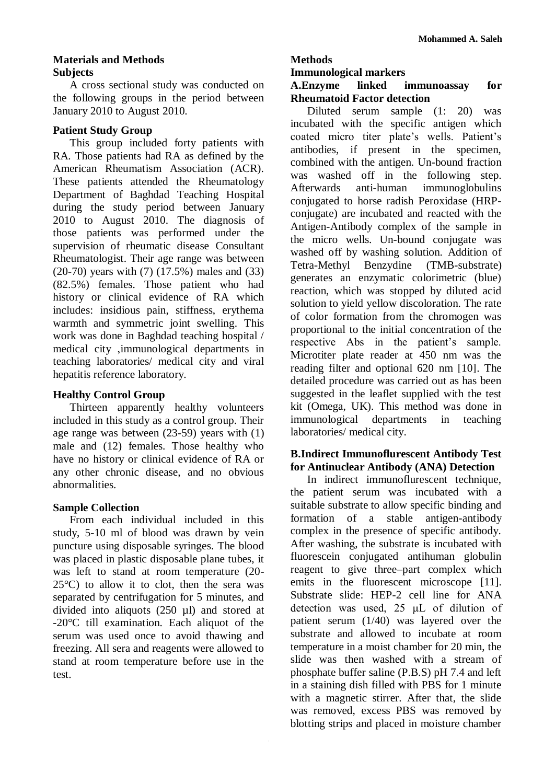## **Materials and Methods Subjects**

A cross sectional study was conducted on the following groups in the period between January 2010 to August 2010.

## **Patient Study Group**

This group included forty patients with RA. Those patients had RA as defined by the American Rheumatism Association (ACR). These patients attended the Rheumatology Department of Baghdad Teaching Hospital during the study period between January 2010 to August 2010. The diagnosis of those patients was performed under the supervision of rheumatic disease Consultant Rheumatologist. Their age range was between (20-70) years with (7) (17.5%) males and (33) (82.5%) females. Those patient who had history or clinical evidence of RA which includes: insidious pain, stiffness, erythema warmth and symmetric joint swelling. This work was done in Baghdad teaching hospital / medical city ,immunological departments in teaching laboratories/ medical city and viral hepatitis reference laboratory.

## **Healthy Control Group**

Thirteen apparently healthy volunteers included in this study as a control group. Their age range was between (23-59) years with (1) male and (12) females. Those healthy who have no history or clinical evidence of RA or any other chronic disease, and no obvious abnormalities.

## **Sample Collection**

From each individual included in this study, 5-10 ml of blood was drawn by vein puncture using disposable syringes. The blood was placed in plastic disposable plane tubes, it was left to stand at room temperature (20-  $25^{\circ}$ C) to allow it to clot, then the sera was separated by centrifugation for 5 minutes, and divided into aliquots (250 µl) and stored at -20°C till examination. Each aliquot of the serum was used once to avoid thawing and freezing. All sera and reagents were allowed to stand at room temperature before use in the test.

## **Methods**

### **Immunological markers**

#### **A.Enzyme linked immunoassay for Rheumatoid Factor detection**

Diluted serum sample (1: 20) was incubated with the specific antigen which coated micro titer plate's wells. Patient's antibodies, if present in the specimen, combined with the antigen. Un-bound fraction was washed off in the following step. Afterwards anti-human immunoglobulins conjugated to horse radish Peroxidase (HRPconjugate) are incubated and reacted with the Antigen-Antibody complex of the sample in the micro wells. Un-bound conjugate was washed off by washing solution. Addition of Tetra-Methyl Benzydine (TMB-substrate) generates an enzymatic colorimetric (blue) reaction, which was stopped by diluted acid solution to yield yellow discoloration. The rate of color formation from the chromogen was proportional to the initial concentration of the respective Abs in the patient's sample. Microtiter plate reader at 450 nm was the reading filter and optional 620 nm [10]. The detailed procedure was carried out as has been suggested in the leaflet supplied with the test kit (Omega, UK). This method was done in immunological departments in teaching laboratories/ medical city.

## **B.Indirect Immunoflurescent Antibody Test for Antinuclear Antibody (ANA) Detection**

In indirect immunoflurescent technique, the patient serum was incubated with a suitable substrate to allow specific binding and formation of a stable antigen-antibody complex in the presence of specific antibody. After washing, the substrate is incubated with fluorescein conjugated antihuman globulin reagent to give three–part complex which emits in the fluorescent microscope [11]. Substrate slide: HEP-2 cell line for ANA detection was used, 25 μL of dilution of patient serum (1/40) was layered over the substrate and allowed to incubate at room temperature in a moist chamber for 20 min, the slide was then washed with a stream of phosphate buffer saline (P.B.S) pH 7.4 and left in a staining dish filled with PBS for 1 minute with a magnetic stirrer. After that, the slide was removed, excess PBS was removed by blotting strips and placed in moisture chamber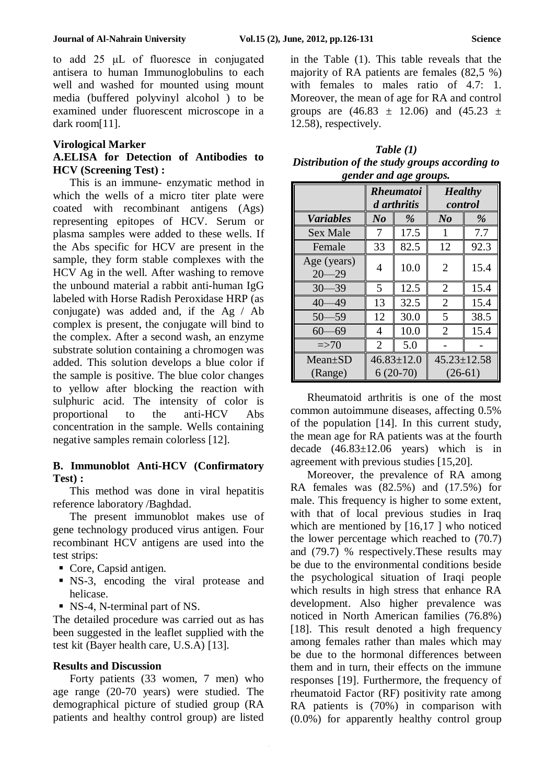to add 25 μL of fluoresce in conjugated antisera to human Immunoglobulins to each well and washed for mounted using mount media (buffered polyvinyl alcohol ) to be examined under fluorescent microscope in a dark room[11].

#### **Virological Marker**

## **A.ELISA for Detection of Antibodies to HCV (Screening Test) :**

This is an immune- enzymatic method in which the wells of a micro titer plate were coated with recombinant antigens (Ags) representing epitopes of HCV. Serum or plasma samples were added to these wells. If the Abs specific for HCV are present in the sample, they form stable complexes with the HCV Ag in the well. After washing to remove the unbound material a rabbit anti-human IgG labeled with Horse Radish Peroxidase HRP (as conjugate) was added and, if the Ag / Ab complex is present, the conjugate will bind to the complex. After a second wash, an enzyme substrate solution containing a chromogen was added. This solution develops a blue color if the sample is positive. The blue color changes to yellow after blocking the reaction with sulphuric acid. The intensity of color is proportional to the anti-HCV Abs concentration in the sample. Wells containing negative samples remain colorless [12].

### **B. Immunoblot Anti-HCV (Confirmatory Test) :**

This method was done in viral hepatitis reference laboratory /Baghdad.

The present immunoblot makes use of gene technology produced virus antigen. Four recombinant HCV antigens are used into the test strips:

- Core, Capsid antigen.
- NS-3, encoding the viral protease and helicase.
- NS-4, N-terminal part of NS.

The detailed procedure was carried out as has been suggested in the leaflet supplied with the test kit (Bayer health care, U.S.A) [13].

#### **Results and Discussion**

Forty patients (33 women, 7 men) who age range (20-70 years) were studied. The demographical picture of studied group (RA patients and healthy control group) are listed in the Table (1). This table reveals that the majority of RA patients are females (82,5 %) with females to males ratio of 4.7: 1. Moreover, the mean of age for RA and control groups are  $(46.83 \pm 12.06)$  and  $(45.23 \pm 12.06)$ 12.58), respectively.

| Table $(1)$                                   |
|-----------------------------------------------|
| Distribution of the study groups according to |
| gender and age groups.                        |

|                          |          | <b>Rheumatoi</b><br>d arthritis | <b>Healthy</b><br>control      |      |  |
|--------------------------|----------|---------------------------------|--------------------------------|------|--|
| <b>Variables</b>         | $\bm{N}$ | $\%$                            | N <sub>o</sub>                 | %    |  |
| <b>Sex Male</b>          | 7        | 17.5                            | 1                              | 7.7  |  |
| Female                   | 33       | 82.5                            | 12                             | 92.3 |  |
| Age (years)<br>$20 - 29$ | 4        | 10.0                            | $\overline{2}$                 | 15.4 |  |
| $30 - 39$                | 5        | 12.5                            | 2                              | 15.4 |  |
| $40 - 49$                | 13       | 32.5                            | $\overline{2}$                 | 15.4 |  |
| $50 - 59$                | 12       | 30.0                            | 5                              | 38.5 |  |
| $60 - 69$                | 4        | 10.0                            | $\overline{2}$                 | 15.4 |  |
| $\Rightarrow 70$         | 2        | 5.0                             |                                |      |  |
| $Mean \pm SD$<br>(Range) |          | $46.83 \pm 12.0$<br>$6(20-70)$  | $45.23 \pm 12.58$<br>$(26-61)$ |      |  |

Rheumatoid arthritis is one of the most common autoimmune diseases, affecting 0.5% of the population [14]. In this current study, the mean age for RA patients was at the fourth decade  $(46.83 \pm 12.06$  years) which is in agreement with previous studies [15,20].

Moreover, the prevalence of RA among RA females was (82.5%) and (17.5%) for male. This frequency is higher to some extent, with that of local previous studies in Iraq which are mentioned by [16,17 ] who noticed the lower percentage which reached to (70.7) and (79.7) % respectively.These results may be due to the environmental conditions beside the psychological situation of Iraqi people which results in high stress that enhance RA development. Also higher prevalence was noticed in North American families (76.8%) [18]. This result denoted a high frequency among females rather than males which may be due to the hormonal differences between them and in turn, their effects on the immune responses [19]. Furthermore, the frequency of rheumatoid Factor (RF) positivity rate among RA patients is (70%) in comparison with (0.0%) for apparently healthy control group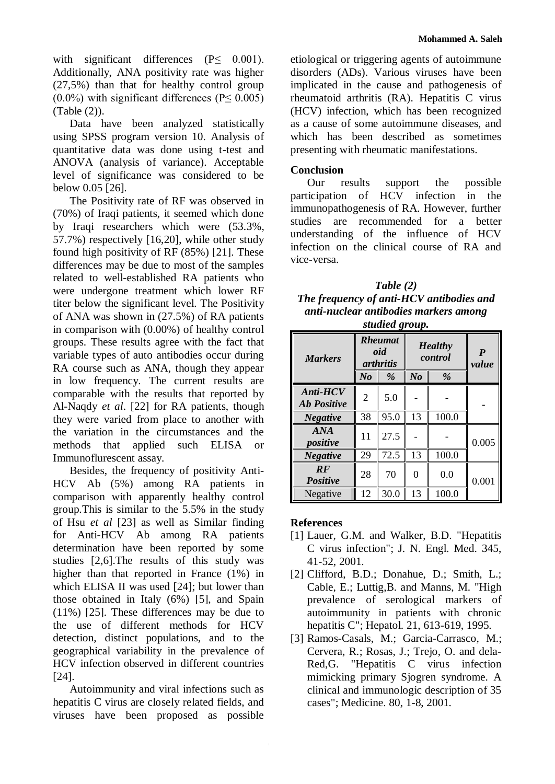with significant differences (P< 0.001). Additionally, ANA positivity rate was higher (27,5%) than that for healthy control group  $(0.0\%)$  with significant differences (P $\leq 0.005$ ) (Table (2)).

Data have been analyzed statistically using SPSS program version 10. Analysis of quantitative data was done using t-test and ANOVA (analysis of variance). Acceptable level of significance was considered to be below 0.05 [26].

The Positivity rate of RF was observed in (70%) of Iraqi patients, it seemed which done by Iraqi researchers which were (53.3%, 57.7%) respectively [16,20], while other study found high positivity of RF (85%) [21]. These differences may be due to most of the samples related to well-established RA patients who were undergone treatment which lower RF titer below the significant level. The Positivity of ANA was shown in (27.5%) of RA patients in comparison with (0.00%) of healthy control groups. These results agree with the fact that variable types of auto antibodies occur during RA course such as ANA, though they appear in low frequency. The current results are comparable with the results that reported by Al-Naqdy *et al*. [22] for RA patients, though they were varied from place to another with the variation in the circumstances and the methods that applied such ELISA or Immunoflurescent assay.

Besides, the frequency of positivity Anti-HCV Ab (5%) among RA patients in comparison with apparently healthy control group.This is similar to the 5.5% in the study of Hsu *et al* [23] as well as Similar finding for Anti-HCV Ab among RA patients determination have been reported by some studies [2,6].The results of this study was higher than that reported in France (1%) in which ELISA II was used [24]; but lower than those obtained in Italy (6%) [5], and Spain (11%) [25]. These differences may be due to the use of different methods for HCV detection, distinct populations, and to the geographical variability in the prevalence of HCV infection observed in different countries [24].

Autoimmunity and viral infections such as hepatitis C virus are closely related fields, and viruses have been proposed as possible etiological or triggering agents of autoimmune disorders (ADs). Various viruses have been implicated in the cause and pathogenesis of rheumatoid arthritis (RA). Hepatitis C virus (HCV) infection, which has been recognized as a cause of some autoimmune diseases, and which has been described as sometimes presenting with rheumatic manifestations.

### **Conclusion**

Our results support the possible participation of HCV infection in the immunopathogenesis of RA. However, further studies are recommended for a better understanding of the influence of HCV infection on the clinical course of RA and vice-versa.

| Table $(2)$                              |
|------------------------------------------|
| The frequency of anti-HCV antibodies and |
| anti-nuclear antibodies markers among    |
| studied group.                           |

| <b>Markers</b>                          | <b>Rheumat</b><br>oid<br><i>arthritis</i> |      | <b>Healthy</b><br>control |       | $\boldsymbol{P}$<br>value |
|-----------------------------------------|-------------------------------------------|------|---------------------------|-------|---------------------------|
|                                         | $N_{0}$                                   | $\%$ | N <sub>o</sub>            | %     |                           |
| Anti-HCV<br><b>Ab Positive</b>          | $\overline{2}$                            | 5.0  |                           |       |                           |
| <b>Negative</b>                         | 38                                        | 95.0 | 13                        | 100.0 |                           |
| $\overline{A}N\overline{A}$<br>positive | 11                                        | 27.5 |                           |       | 0.005                     |
| <b>Negative</b>                         | 29                                        | 72.5 | 13                        | 100.0 |                           |
| $\overline{RF}$<br><b>Positive</b>      | 28                                        | 70   | 0                         | 0.0   | 0.001                     |
| Negative                                | 12                                        | 30.0 | 13                        | 100.0 |                           |

### **References**

- [1] Lauer, G.M. and Walker, B.D. "Hepatitis C virus infection"; J. N. Engl. Med. 345, 41-52, 2001.
- [2] Clifford, B.D.; Donahue, D.; Smith, L.; Cable, E.; Luttig,B. and Manns, M. "High prevalence of serological markers of autoimmunity in patients with chronic hepatitis C"; Hepatol. 21, 613-619, 1995.
- [3] Ramos-Casals, M.; Garcia-Carrasco, M.; Cervera, R.; Rosas, J.; Trejo, O. and dela-Red,G. "Hepatitis C virus infection mimicking primary Sjogren syndrome. A clinical and immunologic description of 35 cases"; Medicine. 80, 1-8, 2001.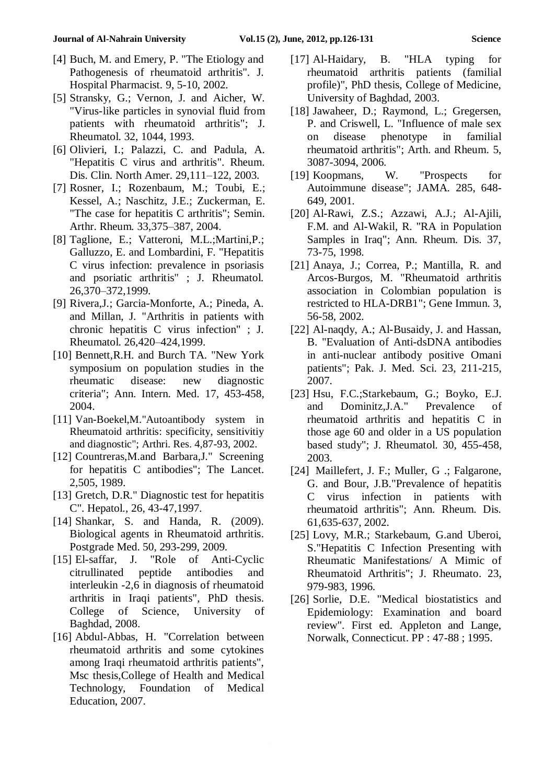- [4] Buch, M. and Emery, P. "The Etiology and Pathogenesis of rheumatoid arthritis". J. Hospital Pharmacist*.* 9, 5-10, 2002.
- [5] Stransky, G.; Vernon, J. and Aicher, W. "Virus-like particles in synovial fluid from patients with rheumatoid arthritis"; J. Rheumatol. 32, 1044, 1993.
- [6] Olivieri, I.; Palazzi, C. and Padula, A. "Hepatitis C virus and arthritis". Rheum. Dis. Clin. North Amer. 29,111–122, 2003.
- [7] Rosner, I.; Rozenbaum, M.; Toubi, E.; Kessel, A.; Naschitz, J.E.; Zuckerman, E. "The case for hepatitis C arthritis"; Semin. Arthr. Rheum*.* 33,375–387, 2004.
- [8] Taglione, E.; Vatteroni, M.L.;Martini,P.; Galluzzo, E. and Lombardini, F. "Hepatitis C virus infection: prevalence in psoriasis and psoriatic arthritis" ; J. Rheumatol. 26,370–372,1999.
- [9] Rivera,J.; Garcia-Monforte, A.; Pineda, A. and Millan, J. "Arthritis in patients with chronic hepatitis C virus infection" ; J. Rheumatol. 26,420–424,1999.
- [10] Bennett,R.H. and Burch TA. "New York symposium on population studies in the rheumatic disease: new diagnostic criteria"; Ann. Intern. Med. 17, 453-458, 2004.
- [11] Van-Boekel, M. "Autoantibody system in Rheumatoid arthritis: specificity, sensitivitiy and diagnostic"; Arthri. Res. 4,87-93, 2002.
- [12] Countreras, M. and Barbara, J." Screening for hepatitis C antibodies"; The Lancet. 2,505, 1989.
- [13] Gretch, D.R." Diagnostic test for hepatitis C". Hepatol., 26, 43-47,1997.
- [14] Shankar, S. and Handa, R. (2009). Biological agents in Rheumatoid arthritis. Postgrade Med. 50, 293-299, 2009.
- [15] El-saffar, J. "Role of Anti-Cyclic citrullinated peptide antibodies and interleukin -2,6 in diagnosis of rheumatoid arthritis in Iraqi patients", PhD thesis. College of Science, University of Baghdad, 2008.
- [16] Abdul-Abbas, H. "Correlation between rheumatoid arthritis and some cytokines among Iraqi rheumatoid arthritis patients", Msc thesis,College of Health and Medical Technology, Foundation of Medical Education, 2007.
- [17] Al-Haidary, B. "HLA typing for rheumatoid arthritis patients (familial profile)", PhD thesis, College of Medicine, University of Baghdad, 2003.
- [18] Jawaheer, D.; Raymond, L.; Gregersen, P. and Criswell, L. "Influence of male sex on disease phenotype in familial rheumatoid arthritis"; Arth. and Rheum*.* 5, 3087-3094, 2006.
- [19] Koopmans, W. "Prospects for Autoimmune disease"; JAMA*.* 285, 648- 649, 2001.
- [20] Al-Rawi, Z.S.; Azzawi, A.J.; Al-Ajili, F.M. and Al-Wakil, R. "RA in Population Samples in Iraq"; Ann. Rheum. Dis. 37, 73-75, 1998.
- [21] Anaya, J.; Correa, P.; Mantilla, R. and Arcos-Burgos, M. "Rheumatoid arthritis association in Colombian population is restricted to HLA-DRB1"; Gene Immun. 3, 56-58, 2002.
- [22] Al-naqdy, A.; Al-Busaidy, J. and Hassan, B. "Evaluation of Anti-dsDNA antibodies in anti-nuclear antibody positive Omani patients"; Pak. J. Med. Sci. 23, 211-215, 2007.
- [23] Hsu, F.C.;Starkebaum, G.; Boyko, E.J. and Dominitz,J.A." Prevalence of rheumatoid arthritis and hepatitis C in those age 60 and older in a US population based study"; J. Rheumatol. 30, 455-458, 2003.
- [24] [Maillefert,](http://ard.bmj.com/search?author1=J+F+Maillefert&sortspec=date&submit=Submit) J. F.; Muller, G.; Falgarone, G. and Bour, J.B."Prevalence of hepatitis C virus infection in patients with rheumatoid arthritis"; Ann. Rheum. Dis. 61,635-637, 2002.
- [25] Lovy, M.R.; Starkebaum, G.and Uberoi, S."Hepatitis C Infection Presenting with Rheumatic Manifestations/ A Mimic of Rheumatoid Arthritis"; J. Rheumato. 23, 979-983, 1996.
- [26] Sorlie, D.E. "Medical biostatistics and Epidemiology: Examination and board review". First ed. Appleton and Lange, Norwalk, Connecticut. PP : 47-88 ; 1995.